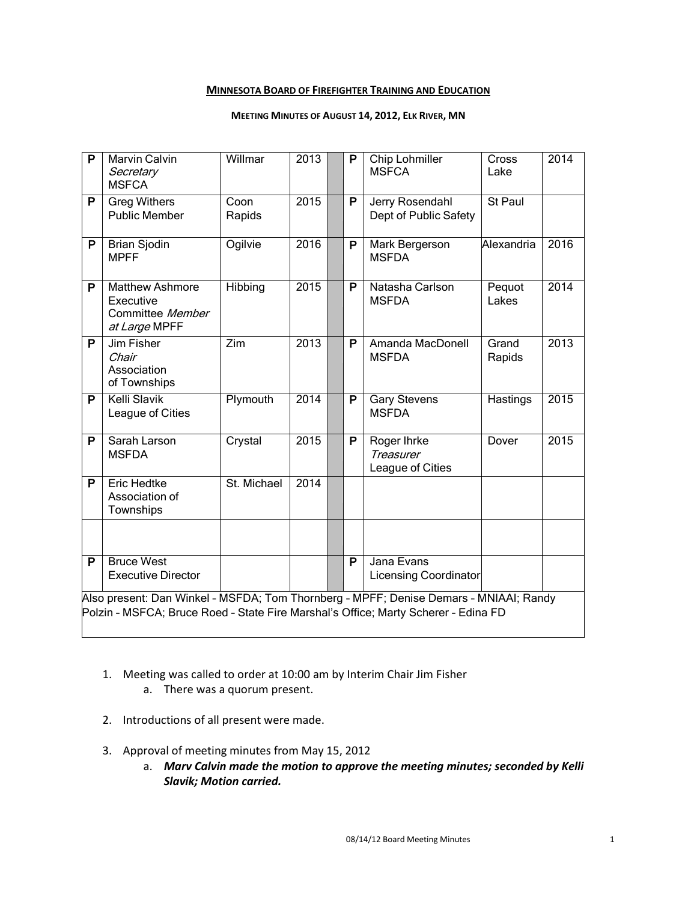### **MINNESOTA BOARD OF FIREFIGHTER TRAINING AND EDUCATION**

#### **MEETING MINUTES OF AUGUST 14, 2012, ELK RIVER, MN**

| P                                                                                                                                                                           | <b>Marvin Calvin</b><br>Secretary<br><b>MSFCA</b>                        | Willmar        | 2013 |  | P | Chip Lohmiller<br><b>MSFCA</b>                      | Cross<br>Lake   | 2014 |  |
|-----------------------------------------------------------------------------------------------------------------------------------------------------------------------------|--------------------------------------------------------------------------|----------------|------|--|---|-----------------------------------------------------|-----------------|------|--|
| P                                                                                                                                                                           | <b>Greg Withers</b><br><b>Public Member</b>                              | Coon<br>Rapids | 2015 |  | P | Jerry Rosendahl<br>Dept of Public Safety            | St Paul         |      |  |
| P                                                                                                                                                                           | <b>Brian Sjodin</b><br><b>MPFF</b>                                       | Ogilvie        | 2016 |  | P | Mark Bergerson<br><b>MSFDA</b>                      | Alexandria      | 2016 |  |
| P                                                                                                                                                                           | <b>Matthew Ashmore</b><br>Executive<br>Committee Member<br>at Large MPFF | Hibbing        | 2015 |  | P | Natasha Carlson<br><b>MSFDA</b>                     | Pequot<br>Lakes | 2014 |  |
| P                                                                                                                                                                           | Jim Fisher<br>Chair<br>Association<br>of Townships                       | Zim            | 2013 |  | P | Amanda MacDonell<br><b>MSFDA</b>                    | Grand<br>Rapids | 2013 |  |
| P                                                                                                                                                                           | <b>Kelli Slavik</b><br>League of Cities                                  | Plymouth       | 2014 |  | P | <b>Gary Stevens</b><br><b>MSFDA</b>                 | Hastings        | 2015 |  |
| P                                                                                                                                                                           | Sarah Larson<br><b>MSFDA</b>                                             | Crystal        | 2015 |  | P | Roger Ihrke<br><b>Treasurer</b><br>League of Cities | Dover           | 2015 |  |
| P                                                                                                                                                                           | <b>Eric Hedtke</b><br>Association of<br>Townships                        | St. Michael    | 2014 |  |   |                                                     |                 |      |  |
|                                                                                                                                                                             |                                                                          |                |      |  |   |                                                     |                 |      |  |
| P                                                                                                                                                                           | <b>Bruce West</b><br><b>Executive Director</b>                           |                |      |  | P | Jana Evans<br><b>Licensing Coordinator</b>          |                 |      |  |
| Also present: Dan Winkel - MSFDA; Tom Thornberg - MPFF; Denise Demars - MNIAAI; Randy<br>Polzin - MSFCA; Bruce Roed - State Fire Marshal's Office; Marty Scherer - Edina FD |                                                                          |                |      |  |   |                                                     |                 |      |  |

- 1. Meeting was called to order at 10:00 am by Interim Chair Jim Fisher
	- a. There was a quorum present.
- 2. Introductions of all present were made.
- 3. Approval of meeting minutes from May 15, 2012
	- a. *Marv Calvin made the motion to approve the meeting minutes; seconded by Kelli Slavik; Motion carried.*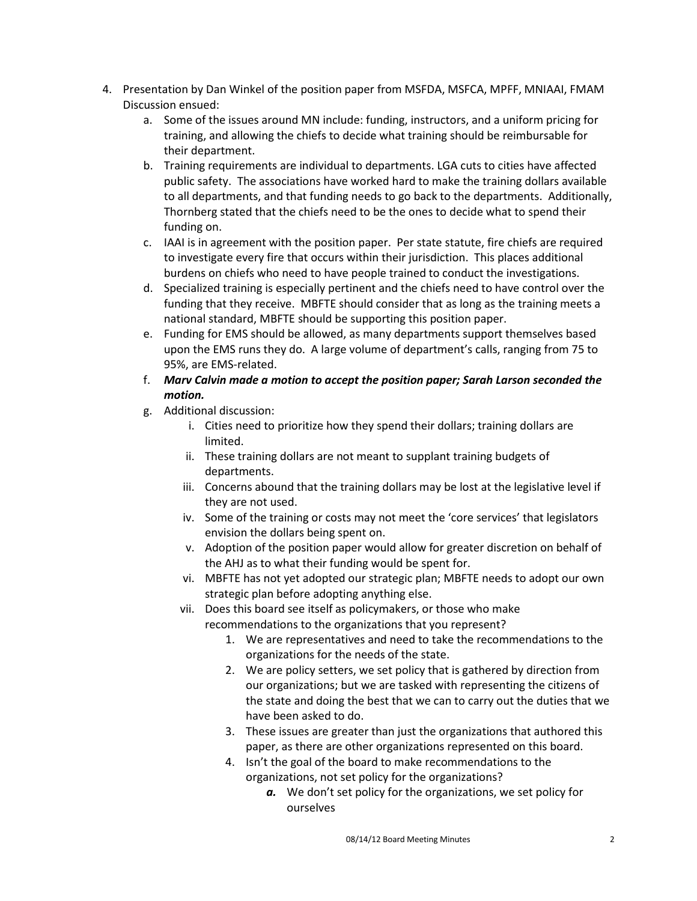- 4. Presentation by Dan Winkel of the position paper from MSFDA, MSFCA, MPFF, MNIAAI, FMAM Discussion ensued:
	- a. Some of the issues around MN include: funding, instructors, and a uniform pricing for training, and allowing the chiefs to decide what training should be reimbursable for their department.
	- b. Training requirements are individual to departments. LGA cuts to cities have affected public safety. The associations have worked hard to make the training dollars available to all departments, and that funding needs to go back to the departments. Additionally, Thornberg stated that the chiefs need to be the ones to decide what to spend their funding on.
	- c. IAAI is in agreement with the position paper. Per state statute, fire chiefs are required to investigate every fire that occurs within their jurisdiction. This places additional burdens on chiefs who need to have people trained to conduct the investigations.
	- d. Specialized training is especially pertinent and the chiefs need to have control over the funding that they receive. MBFTE should consider that as long as the training meets a national standard, MBFTE should be supporting this position paper.
	- e. Funding for EMS should be allowed, as many departments support themselves based upon the EMS runs they do. A large volume of department's calls, ranging from 75 to 95%, are EMS-related.
	- f. *Marv Calvin made a motion to accept the position paper; Sarah Larson seconded the motion.*
	- g. Additional discussion:
		- i. Cities need to prioritize how they spend their dollars; training dollars are limited.
		- ii. These training dollars are not meant to supplant training budgets of departments.
		- iii. Concerns abound that the training dollars may be lost at the legislative level if they are not used.
		- iv. Some of the training or costs may not meet the 'core services' that legislators envision the dollars being spent on.
		- v. Adoption of the position paper would allow for greater discretion on behalf of the AHJ as to what their funding would be spent for.
		- vi. MBFTE has not yet adopted our strategic plan; MBFTE needs to adopt our own strategic plan before adopting anything else.
		- vii. Does this board see itself as policymakers, or those who make recommendations to the organizations that you represent?
			- 1. We are representatives and need to take the recommendations to the organizations for the needs of the state.
			- 2. We are policy setters, we set policy that is gathered by direction from our organizations; but we are tasked with representing the citizens of the state and doing the best that we can to carry out the duties that we have been asked to do.
			- 3. These issues are greater than just the organizations that authored this paper, as there are other organizations represented on this board.
			- 4. Isn't the goal of the board to make recommendations to the organizations, not set policy for the organizations?
				- *a.* We don't set policy for the organizations, we set policy for ourselves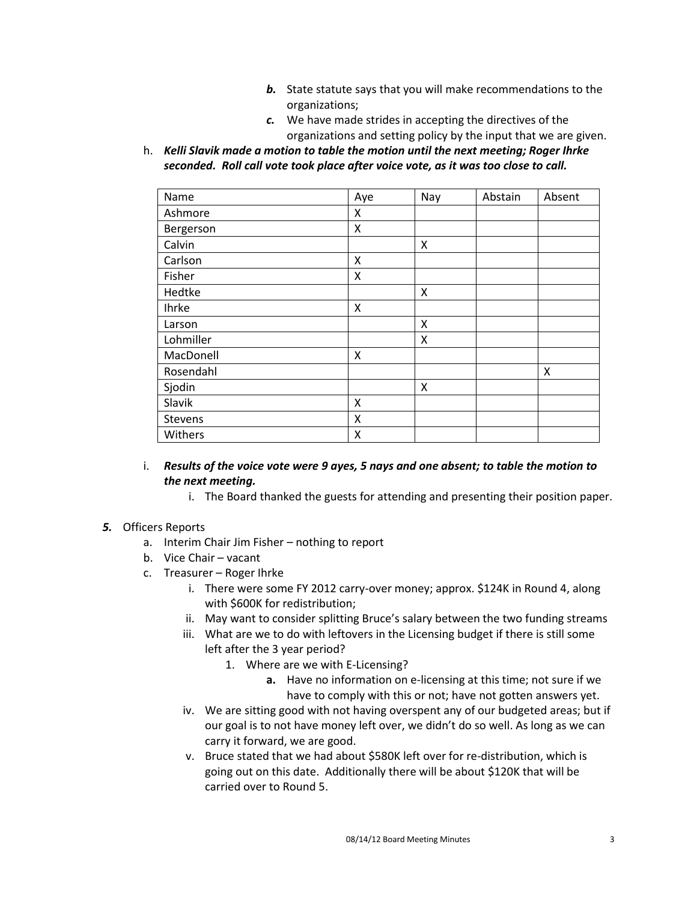- *b.* State statute says that you will make recommendations to the organizations;
- *c.* We have made strides in accepting the directives of the organizations and setting policy by the input that we are given.
- h. *Kelli Slavik made a motion to table the motion until the next meeting; Roger Ihrke seconded. Roll call vote took place after voice vote, as it was too close to call.*

| Name      | Aye | Nay | Abstain | Absent |
|-----------|-----|-----|---------|--------|
| Ashmore   | X   |     |         |        |
| Bergerson | x   |     |         |        |
| Calvin    |     | X   |         |        |
| Carlson   | x   |     |         |        |
| Fisher    | X   |     |         |        |
| Hedtke    |     | X   |         |        |
| Ihrke     | x   |     |         |        |
| Larson    |     | X   |         |        |
| Lohmiller |     | Χ   |         |        |
| MacDonell | X   |     |         |        |
| Rosendahl |     |     |         | X      |
| Sjodin    |     | Χ   |         |        |
| Slavik    | X   |     |         |        |
| Stevens   | Χ   |     |         |        |
| Withers   | Χ   |     |         |        |

- i. *Results of the voice vote were 9 ayes, 5 nays and one absent; to table the motion to the next meeting.* 
	- i. The Board thanked the guests for attending and presenting their position paper.

## *5.* Officers Reports

- a. Interim Chair Jim Fisher nothing to report
- b. Vice Chair vacant
- c. Treasurer Roger Ihrke
	- i. There were some FY 2012 carry-over money; approx. \$124K in Round 4, along with \$600K for redistribution;
	- ii. May want to consider splitting Bruce's salary between the two funding streams
	- iii. What are we to do with leftovers in the Licensing budget if there is still some left after the 3 year period?
		- 1. Where are we with E-Licensing?
			- **a.** Have no information on e-licensing at this time; not sure if we have to comply with this or not; have not gotten answers yet.
	- iv. We are sitting good with not having overspent any of our budgeted areas; but if our goal is to not have money left over, we didn't do so well. As long as we can carry it forward, we are good.
	- v. Bruce stated that we had about \$580K left over for re-distribution, which is going out on this date. Additionally there will be about \$120K that will be carried over to Round 5.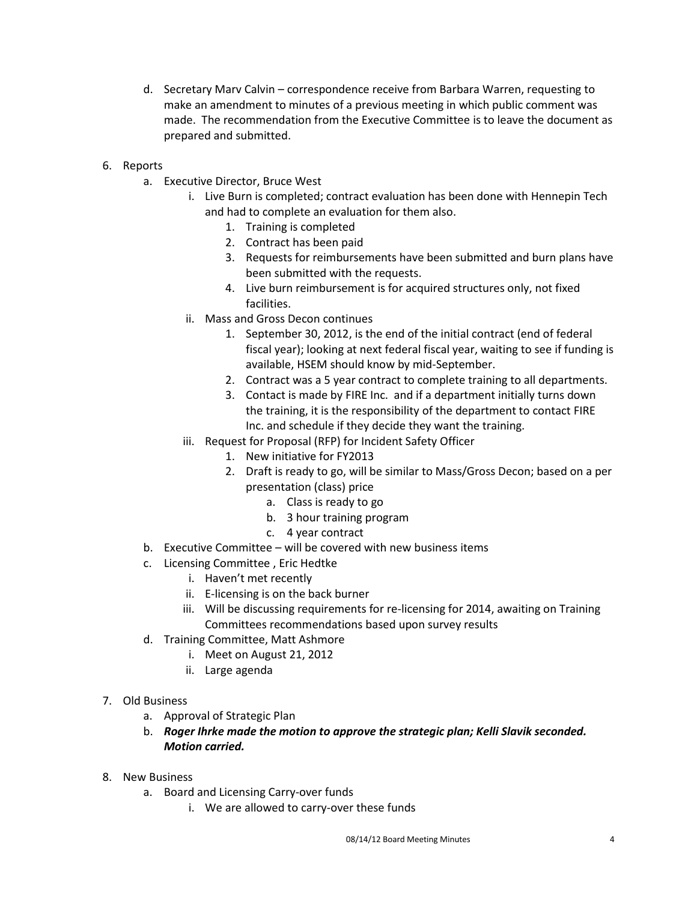- d. Secretary Marv Calvin correspondence receive from Barbara Warren, requesting to make an amendment to minutes of a previous meeting in which public comment was made. The recommendation from the Executive Committee is to leave the document as prepared and submitted.
- 6. Reports
	- a. Executive Director, Bruce West
		- i. Live Burn is completed; contract evaluation has been done with Hennepin Tech and had to complete an evaluation for them also.
			- 1. Training is completed
			- 2. Contract has been paid
			- 3. Requests for reimbursements have been submitted and burn plans have been submitted with the requests.
			- 4. Live burn reimbursement is for acquired structures only, not fixed facilities.
		- ii. Mass and Gross Decon continues
			- 1. September 30, 2012, is the end of the initial contract (end of federal fiscal year); looking at next federal fiscal year, waiting to see if funding is available, HSEM should know by mid-September.
			- 2. Contract was a 5 year contract to complete training to all departments.
			- 3. Contact is made by FIRE Inc. and if a department initially turns down the training, it is the responsibility of the department to contact FIRE Inc. and schedule if they decide they want the training.
		- iii. Request for Proposal (RFP) for Incident Safety Officer
			- 1. New initiative for FY2013
			- 2. Draft is ready to go, will be similar to Mass/Gross Decon; based on a per presentation (class) price
				- a. Class is ready to go
				- b. 3 hour training program
				- c. 4 year contract
	- b. Executive Committee will be covered with new business items
	- c. Licensing Committee , Eric Hedtke
		- i. Haven't met recently
		- ii. E-licensing is on the back burner
		- iii. Will be discussing requirements for re-licensing for 2014, awaiting on Training Committees recommendations based upon survey results
	- d. Training Committee, Matt Ashmore
		- i. Meet on August 21, 2012
			- ii. Large agenda
- 7. Old Business
	- a. Approval of Strategic Plan
	- b. *Roger Ihrke made the motion to approve the strategic plan; Kelli Slavik seconded. Motion carried.*
- 8. New Business
	- a. Board and Licensing Carry-over funds
		- i. We are allowed to carry-over these funds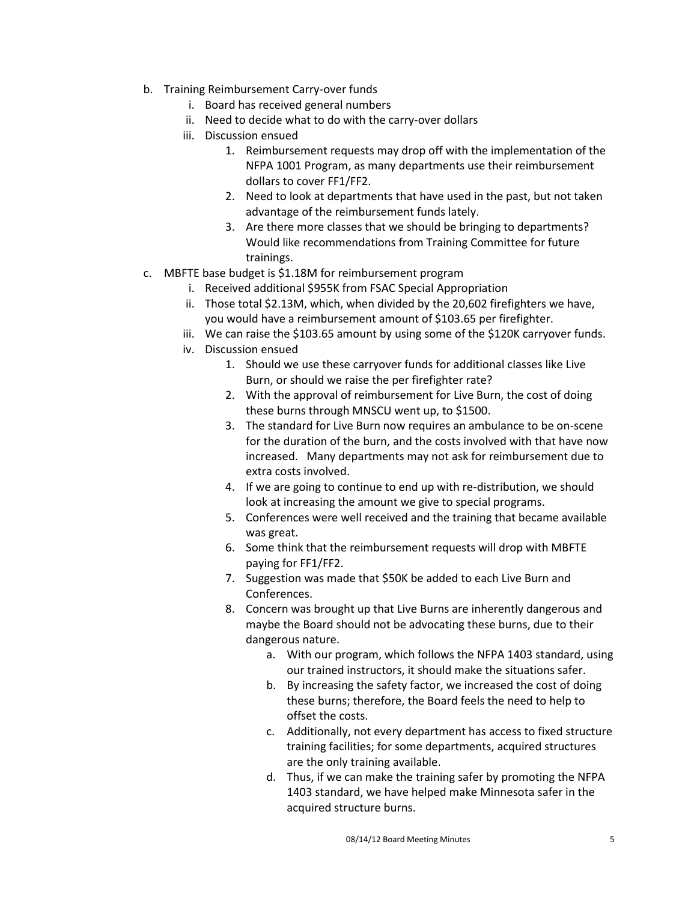- b. Training Reimbursement Carry-over funds
	- i. Board has received general numbers
	- ii. Need to decide what to do with the carry-over dollars
	- iii. Discussion ensued
		- 1. Reimbursement requests may drop off with the implementation of the NFPA 1001 Program, as many departments use their reimbursement dollars to cover FF1/FF2.
		- 2. Need to look at departments that have used in the past, but not taken advantage of the reimbursement funds lately.
		- 3. Are there more classes that we should be bringing to departments? Would like recommendations from Training Committee for future trainings.
- c. MBFTE base budget is \$1.18M for reimbursement program
	- i. Received additional \$955K from FSAC Special Appropriation
	- ii. Those total \$2.13M, which, when divided by the 20,602 firefighters we have, you would have a reimbursement amount of \$103.65 per firefighter.
	- iii. We can raise the \$103.65 amount by using some of the \$120K carryover funds.
	- iv. Discussion ensued
		- 1. Should we use these carryover funds for additional classes like Live Burn, or should we raise the per firefighter rate?
		- 2. With the approval of reimbursement for Live Burn, the cost of doing these burns through MNSCU went up, to \$1500.
		- 3. The standard for Live Burn now requires an ambulance to be on-scene for the duration of the burn, and the costs involved with that have now increased. Many departments may not ask for reimbursement due to extra costs involved.
		- 4. If we are going to continue to end up with re-distribution, we should look at increasing the amount we give to special programs.
		- 5. Conferences were well received and the training that became available was great.
		- 6. Some think that the reimbursement requests will drop with MBFTE paying for FF1/FF2.
		- 7. Suggestion was made that \$50K be added to each Live Burn and Conferences.
		- 8. Concern was brought up that Live Burns are inherently dangerous and maybe the Board should not be advocating these burns, due to their dangerous nature.
			- a. With our program, which follows the NFPA 1403 standard, using our trained instructors, it should make the situations safer.
			- b. By increasing the safety factor, we increased the cost of doing these burns; therefore, the Board feels the need to help to offset the costs.
			- c. Additionally, not every department has access to fixed structure training facilities; for some departments, acquired structures are the only training available.
			- d. Thus, if we can make the training safer by promoting the NFPA 1403 standard, we have helped make Minnesota safer in the acquired structure burns.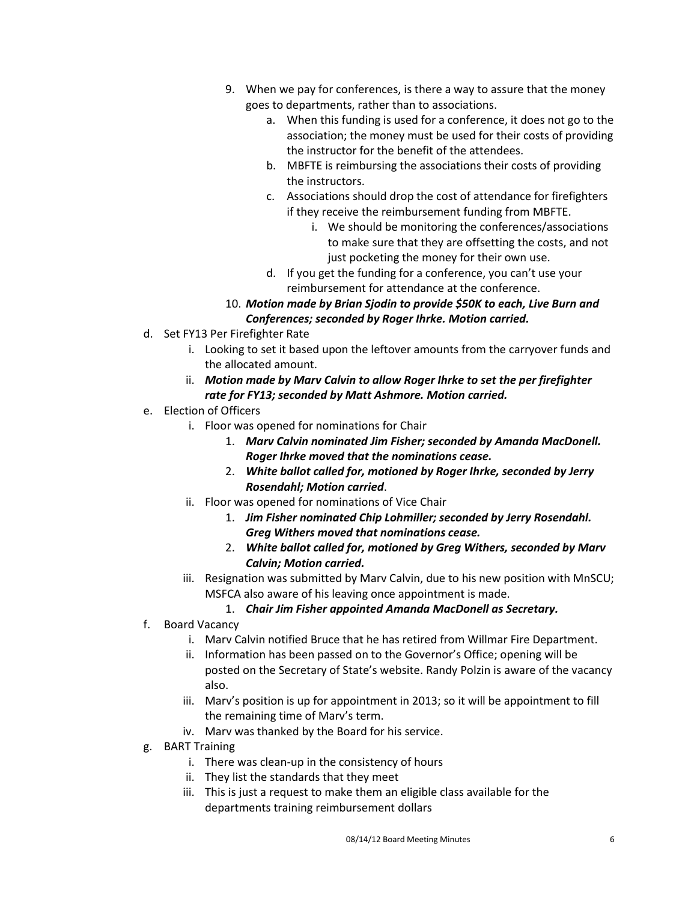- 9. When we pay for conferences, is there a way to assure that the money goes to departments, rather than to associations.
	- a. When this funding is used for a conference, it does not go to the association; the money must be used for their costs of providing the instructor for the benefit of the attendees.
	- b. MBFTE is reimbursing the associations their costs of providing the instructors.
	- c. Associations should drop the cost of attendance for firefighters if they receive the reimbursement funding from MBFTE.
		- i. We should be monitoring the conferences/associations to make sure that they are offsetting the costs, and not just pocketing the money for their own use.
	- d. If you get the funding for a conference, you can't use your reimbursement for attendance at the conference.
- 10. *Motion made by Brian Sjodin to provide \$50K to each, Live Burn and Conferences; seconded by Roger Ihrke. Motion carried.*
- d. Set FY13 Per Firefighter Rate
	- i. Looking to set it based upon the leftover amounts from the carryover funds and the allocated amount.
	- ii. *Motion made by Marv Calvin to allow Roger Ihrke to set the per firefighter rate for FY13; seconded by Matt Ashmore. Motion carried.*
- e. Election of Officers
	- i. Floor was opened for nominations for Chair
		- 1. *Marv Calvin nominated Jim Fisher; seconded by Amanda MacDonell. Roger Ihrke moved that the nominations cease.*
		- 2. *White ballot called for, motioned by Roger Ihrke, seconded by Jerry Rosendahl; Motion carried*.
	- ii. Floor was opened for nominations of Vice Chair
		- 1. *Jim Fisher nominated Chip Lohmiller; seconded by Jerry Rosendahl. Greg Withers moved that nominations cease.*
		- 2. *White ballot called for, motioned by Greg Withers, seconded by Marv Calvin; Motion carried.*
	- iii. Resignation was submitted by Marv Calvin, due to his new position with MnSCU; MSFCA also aware of his leaving once appointment is made.

# 1. *Chair Jim Fisher appointed Amanda MacDonell as Secretary.*

- f. Board Vacancy
	- i. Marv Calvin notified Bruce that he has retired from Willmar Fire Department.
	- ii. Information has been passed on to the Governor's Office; opening will be posted on the Secretary of State's website. Randy Polzin is aware of the vacancy also.
	- iii. Marv's position is up for appointment in 2013; so it will be appointment to fill the remaining time of Marv's term.
	- iv. Marv was thanked by the Board for his service.
- g. BART Training
	- i. There was clean-up in the consistency of hours
	- ii. They list the standards that they meet
	- iii. This is just a request to make them an eligible class available for the departments training reimbursement dollars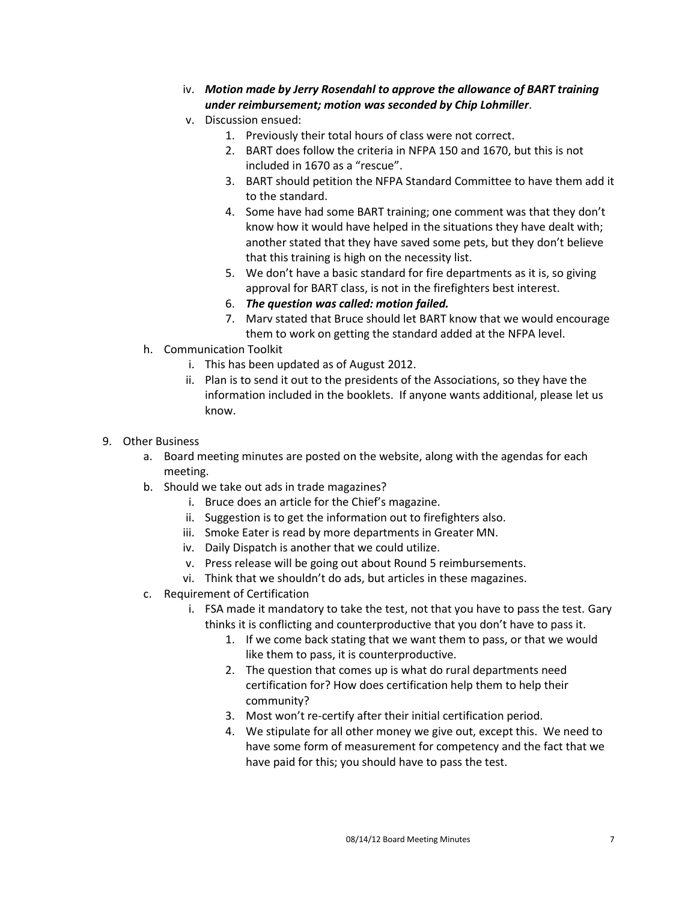- iv. *Motion made by Jerry Rosendahl to approve the allowance of BART training under reimbursement; motion was seconded by Chip Lohmiller*.
- v. Discussion ensued:
	- 1. Previously their total hours of class were not correct.
	- 2. BART does follow the criteria in NFPA 150 and 1670, but this is not included in 1670 as a "rescue".
	- 3. BART should petition the NFPA Standard Committee to have them add it to the standard.
	- 4. Some have had some BART training; one comment was that they don't know how it would have helped in the situations they have dealt with; another stated that they have saved some pets, but they don't believe that this training is high on the necessity list.
	- 5. We don't have a basic standard for fire departments as it is, so giving approval for BART class, is not in the firefighters best interest.
	- 6. *The question was called: motion failed.*
	- 7. Marv stated that Bruce should let BART know that we would encourage them to work on getting the standard added at the NFPA level.
- h. Communication Toolkit
	- i. This has been updated as of August 2012.
	- ii. Plan is to send it out to the presidents of the Associations, so they have the information included in the booklets. If anyone wants additional, please let us know.
- 9. Other Business
	- a. Board meeting minutes are posted on the website, along with the agendas for each meeting.
	- b. Should we take out ads in trade magazines?
		- i. Bruce does an article for the Chief's magazine.
			- ii. Suggestion is to get the information out to firefighters also.
			- iii. Smoke Eater is read by more departments in Greater MN.
			- iv. Daily Dispatch is another that we could utilize.
			- v. Press release will be going out about Round 5 reimbursements.
			- vi. Think that we shouldn't do ads, but articles in these magazines.
	- c. Requirement of Certification
		- i. FSA made it mandatory to take the test, not that you have to pass the test. Gary thinks it is conflicting and counterproductive that you don't have to pass it.
			- 1. If we come back stating that we want them to pass, or that we would like them to pass, it is counterproductive.
			- 2. The question that comes up is what do rural departments need certification for? How does certification help them to help their community?
			- 3. Most won't re-certify after their initial certification period.
			- 4. We stipulate for all other money we give out, except this. We need to have some form of measurement for competency and the fact that we have paid for this; you should have to pass the test.